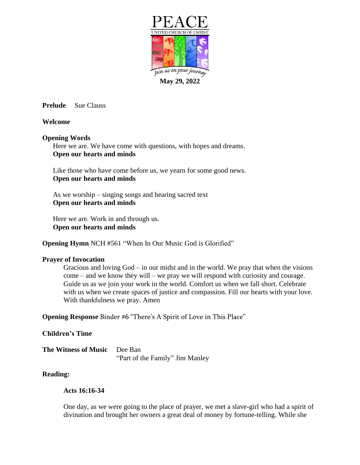

**Prelude** Sue Clauss

## **Welcome**

## **Opening Words**

Here we are. We have come with questions, with hopes and dreams. **Open our hearts and minds**

Like those who have come before us, we yearn for some good news. **Open our hearts and minds**

As we worship – singing songs and hearing sacred text **Open our hearts and minds**

Here we are. Work in and through us. **Open our hearts and minds**

**Opening Hymn** NCH #561 "When In Our Music God is Glorified"

## **Prayer of Invocation**

Gracious and loving God – in our midst and in the world. We pray that when the visions come – and we know they will – we pray we will respond with curiosity and courage. Guide us as we join your work in the world. Comfort us when we fall short. Celebrate with us when we create spaces of justice and compassion. Fill our hearts with your love. With thankfulness we pray. Amen

**Opening Response** Binder #6 "There's A Spirit of Love in This Place"

## **Children's Time**

**The Witness of Music** Dee Ban "Part of the Family" Jim Manley

## **Reading:**

## **Acts 16:16-34**

One day, as we were going to the place of prayer, we met a slave-girl who had a spirit of divination and brought her owners a great deal of money by fortune-telling. While she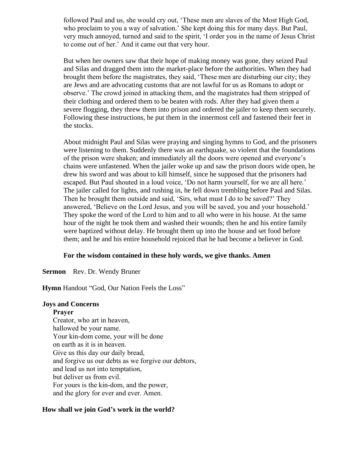followed Paul and us, she would cry out, 'These men are slaves of the Most High God, who proclaim to you a way of salvation.' She kept doing this for many days. But Paul, very much annoyed, turned and said to the spirit, 'I order you in the name of Jesus Christ to come out of her.' And it came out that very hour.

But when her owners saw that their hope of making money was gone, they seized Paul and Silas and dragged them into the market-place before the authorities. When they had brought them before the magistrates, they said, 'These men are disturbing our city; they are Jews and are advocating customs that are not lawful for us as Romans to adopt or observe.' The crowd joined in attacking them, and the magistrates had them stripped of their clothing and ordered them to be beaten with rods. After they had given them a severe flogging, they threw them into prison and ordered the jailer to keep them securely. Following these instructions, he put them in the innermost cell and fastened their feet in the stocks.

About midnight Paul and Silas were praying and singing hymns to God, and the prisoners were listening to them. Suddenly there was an earthquake, so violent that the foundations of the prison were shaken; and immediately all the doors were opened and everyone's chains were unfastened. When the jailer woke up and saw the prison doors wide open, he drew his sword and was about to kill himself, since he supposed that the prisoners had escaped. But Paul shouted in a loud voice, 'Do not harm yourself, for we are all here.' The jailer called for lights, and rushing in, he fell down trembling before Paul and Silas. Then he brought them outside and said, 'Sirs, what must I do to be saved?' They answered, 'Believe on the Lord Jesus, and you will be saved, you and your household.' They spoke the word of the Lord to him and to all who were in his house. At the same hour of the night he took them and washed their wounds; then he and his entire family were baptized without delay. He brought them up into the house and set food before them; and he and his entire household rejoiced that he had become a believer in God.

#### **For the wisdom contained in these holy words, we give thanks. Amen**

**Sermon** Rev. Dr. Wendy Bruner

**Hymn** Handout "God, Our Nation Feels the Loss"

#### **Joys and Concerns**

#### **Prayer**

Creator, who art in heaven, hallowed be your name. Your kin-dom come, your will be done on earth as it is in heaven. Give us this day our daily bread, and forgive us our debts as we forgive our debtors, and lead us not into temptation, but deliver us from evil. For yours is the kin-dom, and the power, and the glory for ever and ever. Amen.

#### **How shall we join God's work in the world?**